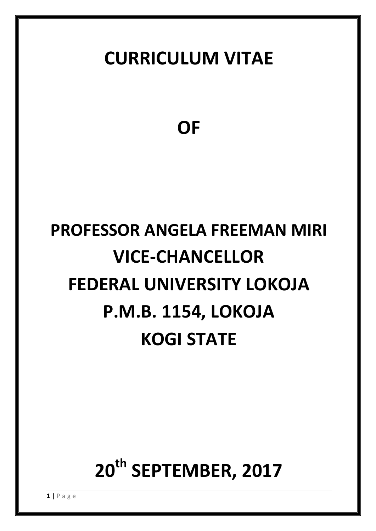# **CURRICULUM VITAE**

**OF**

# **PROFESSOR ANGELA FREEMAN MIRI VICE-CHANCELLOR FEDERAL UNIVERSITY LOKOJA P.M.B. 1154, LOKOJA KOGI STATE**

# **20th SEPTEMBER, 2017**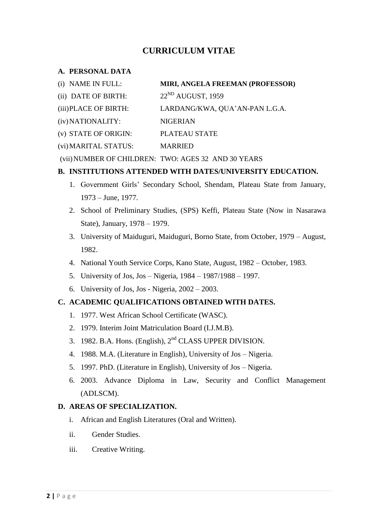# **CURRICULUM VITAE**

#### **A. PERSONAL DATA**

| (i) NAME IN FULL:     | MIRI, ANGELA FREEMAN (PROFESSOR)                    |
|-----------------------|-----------------------------------------------------|
| (ii) DATE OF BIRTH:   | $22^{ND}$ AUGUST, 1959                              |
| (iii) PLACE OF BIRTH: | LARDANG/KWA, QUA'AN-PAN L.G.A.                      |
| (iv) NATIONALITY:     | NIGERIAN                                            |
| (v) STATE OF ORIGIN:  | PLATEAU STATE                                       |
| (vi) MARITAL STATUS:  | <b>MARRIED</b>                                      |
|                       | (vii) NUMBER OF CHILDREN: TWO: AGES 32 AND 30 YEARS |

#### **B. INSTITUTIONS ATTENDED WITH DATES/UNIVERSITY EDUCATION.**

- 1. Government Girls" Secondary School, Shendam, Plateau State from January, 1973 – June, 1977.
- 2. School of Preliminary Studies, (SPS) Keffi, Plateau State (Now in Nasarawa State), January, 1978 – 1979.
- 3. University of Maiduguri, Maiduguri, Borno State, from October, 1979 August, 1982.
- 4. National Youth Service Corps, Kano State, August, 1982 October, 1983.
- 5. University of Jos, Jos Nigeria, 1984 1987/1988 1997.
- 6. University of Jos, Jos Nigeria, 2002 2003.

## **C. ACADEMIC QUALIFICATIONS OBTAINED WITH DATES.**

- 1. 1977. West African School Certificate (WASC).
- 2. 1979. Interim Joint Matriculation Board (I.J.M.B).
- 3. 1982. B.A. Hons. (English), 2nd CLASS UPPER DIVISION.
- 4. 1988. M.A. (Literature in English), University of Jos Nigeria.
- 5. 1997. PhD. (Literature in English), University of Jos Nigeria.
- 6. 2003. Advance Diploma in Law, Security and Conflict Management (ADLSCM).

#### **D. AREAS OF SPECIALIZATION.**

- i. African and English Literatures (Oral and Written).
- ii. Gender Studies.
- iii. Creative Writing.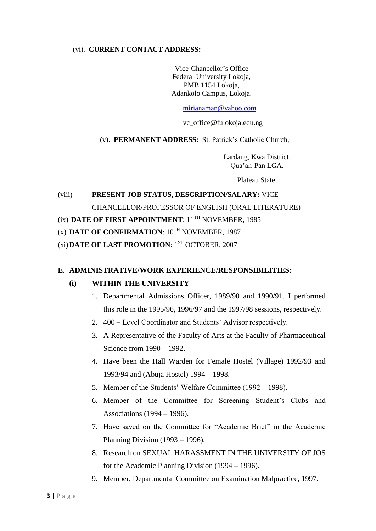#### (vi). **CURRENT CONTACT ADDRESS:**

Vice-Chancellor"s Office Federal University Lokoja, PMB 1154 Lokoja, Adankolo Campus, Lokoja.

#### [mirianaman@yahoo.com](mailto:mirianaman@yahoo.com)

vc\_office@fulokoja.edu.ng

(v). **PERMANENT ADDRESS:** St. Patrick"s Catholic Church,

Lardang, Kwa District, Qua"an-Pan LGA.

Plateau State.

(viii) **PRESENT JOB STATUS, DESCRIPTION/SALARY:** VICE-CHANCELLOR/PROFESSOR OF ENGLISH (ORAL LITERATURE)

# (ix) **DATE OF FIRST APPOINTMENT**:  $11^{TH}$  NOVEMBER, 1985

(x) DATE OF CONFIRMATION:  $10^{TH}$  NOVEMBER, 1987

(xi) **DATE OF LAST PROMOTION**: 1<sup>ST</sup> OCTOBER, 2007

#### **E. ADMINISTRATIVE/WORK EXPERIENCE/RESPONSIBILITIES:**

#### **(i) WITHIN THE UNIVERSITY**

- 1. Departmental Admissions Officer, 1989/90 and 1990/91. I performed this role in the 1995/96, 1996/97 and the 1997/98 sessions, respectively.
- 2. 400 Level Coordinator and Students" Advisor respectively.
- 3. A Representative of the Faculty of Arts at the Faculty of Pharmaceutical Science from 1990 – 1992.
- 4. Have been the Hall Warden for Female Hostel (Village) 1992/93 and 1993/94 and (Abuja Hostel) 1994 – 1998.
- 5. Member of the Students" Welfare Committee (1992 1998).
- 6. Member of the Committee for Screening Student"s Clubs and Associations (1994 – 1996).
- 7. Have saved on the Committee for "Academic Brief" in the Academic Planning Division (1993 – 1996).
- 8. Research on SEXUAL HARASSMENT IN THE UNIVERSITY OF JOS for the Academic Planning Division (1994 – 1996).
- 9. Member, Departmental Committee on Examination Malpractice, 1997.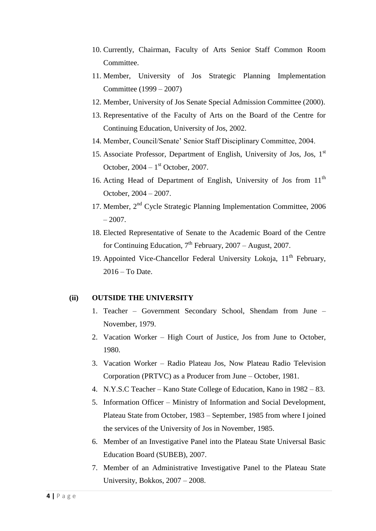- 10. Currently, Chairman, Faculty of Arts Senior Staff Common Room Committee.
- 11. Member, University of Jos Strategic Planning Implementation Committee (1999 – 2007)
- 12. Member, University of Jos Senate Special Admission Committee (2000).
- 13. Representative of the Faculty of Arts on the Board of the Centre for Continuing Education, University of Jos, 2002.
- 14. Member, Council/Senate" Senior Staff Disciplinary Committee, 2004.
- 15. Associate Professor, Department of English, University of Jos, Jos, 1st October,  $2004 - 1$ <sup>st</sup> October, 2007.
- 16. Acting Head of Department of English, University of Jos from 11<sup>th</sup> October, 2004 – 2007.
- 17. Member, 2<sup>nd</sup> Cycle Strategic Planning Implementation Committee, 2006  $-2007$ .
- 18. Elected Representative of Senate to the Academic Board of the Centre for Continuing Education,  $7<sup>th</sup>$  February, 2007 – August, 2007.
- 19. Appointed Vice-Chancellor Federal University Lokoja,  $11<sup>th</sup>$  February, 2016 – To Date.

#### **(ii) OUTSIDE THE UNIVERSITY**

- 1. Teacher Government Secondary School, Shendam from June November, 1979.
- 2. Vacation Worker High Court of Justice, Jos from June to October, 1980.
- 3. Vacation Worker Radio Plateau Jos, Now Plateau Radio Television Corporation (PRTVC) as a Producer from June – October, 1981.
- 4. N.Y.S.C Teacher Kano State College of Education, Kano in 1982 83.
- 5. Information Officer Ministry of Information and Social Development, Plateau State from October, 1983 – September, 1985 from where I joined the services of the University of Jos in November, 1985.
- 6. Member of an Investigative Panel into the Plateau State Universal Basic Education Board (SUBEB), 2007.
- 7. Member of an Administrative Investigative Panel to the Plateau State University, Bokkos, 2007 – 2008.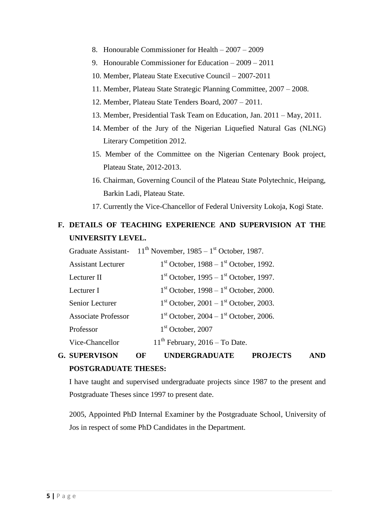- 8. Honourable Commissioner for Health 2007 2009
- 9. Honourable Commissioner for Education 2009 2011
- 10. Member, Plateau State Executive Council 2007-2011
- 11. Member, Plateau State Strategic Planning Committee, 2007 2008.
- 12. Member, Plateau State Tenders Board, 2007 2011.
- 13. Member, Presidential Task Team on Education, Jan. 2011 May, 2011.
- 14. Member of the Jury of the Nigerian Liquefied Natural Gas (NLNG) Literary Competition 2012.
- 15. Member of the Committee on the Nigerian Centenary Book project, Plateau State, 2012-2013.
- 16. Chairman, Governing Council of the Plateau State Polytechnic, Heipang, Barkin Ladi, Plateau State.
- 17. Currently the Vice-Chancellor of Federal University Lokoja, Kogi State.

# **F. DETAILS OF TEACHING EXPERIENCE AND SUPERVISION AT THE UNIVERSITY LEVEL.**

# **G. SUPERVISON OF UNDERGRADUATE PROJECTS AND POSTGRADUATE THESES:**

I have taught and supervised undergraduate projects since 1987 to the present and Postgraduate Theses since 1997 to present date.

2005, Appointed PhD Internal Examiner by the Postgraduate School, University of Jos in respect of some PhD Candidates in the Department.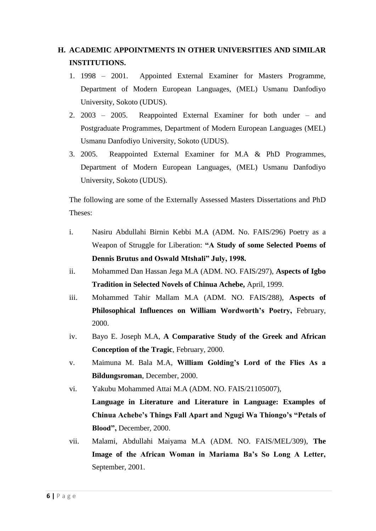# **H. ACADEMIC APPOINTMENTS IN OTHER UNIVERSITIES AND SIMILAR INSTITUTIONS.**

- 1. 1998 2001. Appointed External Examiner for Masters Programme, Department of Modern European Languages, (MEL) Usmanu Danfodiyo University, Sokoto (UDUS).
- 2. 2003 2005. Reappointed External Examiner for both under and Postgraduate Programmes, Department of Modern European Languages (MEL) Usmanu Danfodiyo University, Sokoto (UDUS).
- 3. 2005. Reappointed External Examiner for M.A & PhD Programmes, Department of Modern European Languages, (MEL) Usmanu Danfodiyo University, Sokoto (UDUS).

The following are some of the Externally Assessed Masters Dissertations and PhD Theses:

- i. Nasiru Abdullahi Birnin Kebbi M.A (ADM. No. FAIS/296) Poetry as a Weapon of Struggle for Liberation: **"A Study of some Selected Poems of Dennis Brutus and Oswald Mtshali" July, 1998.**
- ii. Mohammed Dan Hassan Jega M.A (ADM. NO. FAIS/297), **Aspects of Igbo Tradition in Selected Novels of Chinua Achebe,** April, 1999.
- iii. Mohammed Tahir Mallam M.A (ADM. NO. FAIS/288), **Aspects of Philosophical Influences on William Wordworth's Poetry,** February, 2000.
- iv. Bayo E. Joseph M.A, **A Comparative Study of the Greek and African Conception of the Tragic**, February, 2000.
- v. Maimuna M. Bala M.A, **William Golding's Lord of the Flies As a Bildungsroman**, December, 2000.
- vi. Yakubu Mohammed Attai M.A (ADM. NO. FAIS/21105007),
	- **Language in Literature and Literature in Language: Examples of Chinua Achebe's Things Fall Apart and Ngugi Wa Thiongo's "Petals of Blood",** December, 2000.
- vii. Malami, Abdullahi Maiyama M.A (ADM. NO. FAIS/MEL/309), **The Image of the African Woman in Mariama Ba's So Long A Letter,**  September, 2001.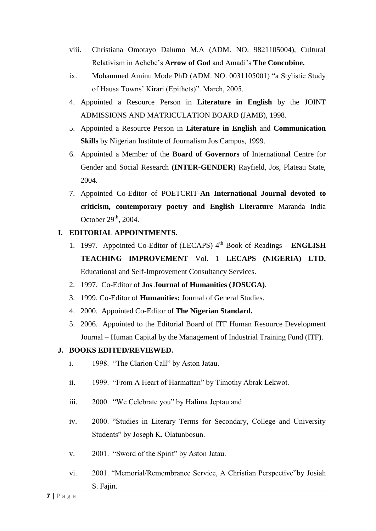- viii. Christiana Omotayo Dalumo M.A (ADM. NO. 9821105004), Cultural Relativism in Achebe"s **Arrow of God** and Amadi"s **The Concubine.**
- ix. Mohammed Aminu Mode PhD (ADM. NO. 0031105001) "a Stylistic Study of Hausa Towns" Kirari (Epithets)". March, 2005.
- 4. Appointed a Resource Person in **Literature in English** by the JOINT ADMISSIONS AND MATRICULATION BOARD (JAMB), 1998.
- 5. Appointed a Resource Person in **Literature in English** and **Communication Skills** by Nigerian Institute of Journalism Jos Campus, 1999.
- 6. Appointed a Member of the **Board of Governors** of International Centre for Gender and Social Research **(INTER-GENDER)** Rayfield, Jos, Plateau State, 2004.
- 7. Appointed Co-Editor of POETCRIT-**An International Journal devoted to criticism, contemporary poetry and English Literature** Maranda India October  $29<sup>th</sup>$ , 2004.

## **I. EDITORIAL APPOINTMENTS.**

- 1. 1997. Appointed Co-Editor of (LECAPS) 4<sup>th</sup> Book of Readings **ENGLISH TEACHING IMPROVEMENT** Vol. 1 **LECAPS (NIGERIA) LTD.**  Educational and Self-Improvement Consultancy Services.
- 2. 1997. Co-Editor of **Jos Journal of Humanities (JOSUGA)**.
- 3. 1999. Co-Editor of **Humanities:** Journal of General Studies.
- 4. 2000. Appointed Co-Editor of **The Nigerian Standard.**
- 5. 2006. Appointed to the Editorial Board of ITF Human Resource Development Journal – Human Capital by the Management of Industrial Training Fund (ITF).

# **J. BOOKS EDITED/REVIEWED.**

- i. 1998. "The Clarion Call" by Aston Jatau.
- ii. 1999. "From A Heart of Harmattan" by Timothy Abrak Lekwot.
- iii. 2000. "We Celebrate you" by Halima Jeptau and
- iv. 2000. "Studies in Literary Terms for Secondary, College and University Students" by Joseph K. Olatunbosun.
- v. 2001. "Sword of the Spirit" by Aston Jatau.
- vi. 2001. "Memorial/Remembrance Service, A Christian Perspective"by Josiah S. Fajin.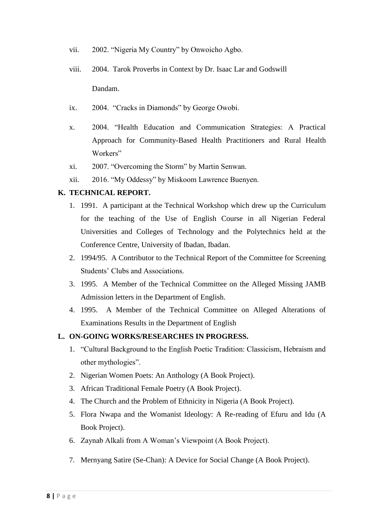- vii. 2002. "Nigeria My Country" by Onwoicho Agbo.
- viii. 2004. Tarok Proverbs in Context by Dr. Isaac Lar and Godswill Dandam.
- ix. 2004. "Cracks in Diamonds" by George Owobi.
- x. 2004. "Health Education and Communication Strategies: A Practical Approach for Community-Based Health Practitioners and Rural Health Workers"
- xi. 2007. "Overcoming the Storm" by Martin Senwan.
- xii. 2016. "My Oddessy" by Miskoom Lawrence Buenyen.

#### **K. TECHNICAL REPORT.**

- 1. 1991. A participant at the Technical Workshop which drew up the Curriculum for the teaching of the Use of English Course in all Nigerian Federal Universities and Colleges of Technology and the Polytechnics held at the Conference Centre, University of Ibadan, Ibadan.
- 2. 1994/95. A Contributor to the Technical Report of the Committee for Screening Students" Clubs and Associations.
- 3. 1995. A Member of the Technical Committee on the Alleged Missing JAMB Admission letters in the Department of English.
- 4. 1995. A Member of the Technical Committee on Alleged Alterations of Examinations Results in the Department of English

#### **L. ON-GOING WORKS/RESEARCHES IN PROGRESS.**

- 1. "Cultural Background to the English Poetic Tradition: Classicism, Hebraism and other mythologies".
- 2. Nigerian Women Poets: An Anthology (A Book Project).
- 3. African Traditional Female Poetry (A Book Project).
- 4. The Church and the Problem of Ethnicity in Nigeria (A Book Project).
- 5. Flora Nwapa and the Womanist Ideology: A Re-reading of Efuru and Idu (A Book Project).
- 6. Zaynab Alkali from A Woman"s Viewpoint (A Book Project).
- 7. Mernyang Satire (Se-Chan): A Device for Social Change (A Book Project).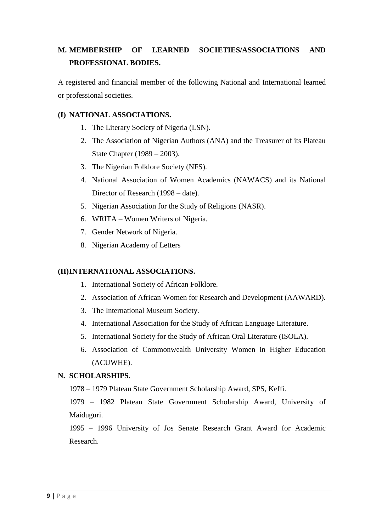# **M. MEMBERSHIP OF LEARNED SOCIETIES/ASSOCIATIONS AND PROFESSIONAL BODIES.**

A registered and financial member of the following National and International learned or professional societies.

#### **(I) NATIONAL ASSOCIATIONS.**

- 1. The Literary Society of Nigeria (LSN).
- 2. The Association of Nigerian Authors (ANA) and the Treasurer of its Plateau State Chapter (1989 – 2003).
- 3. The Nigerian Folklore Society (NFS).
- 4. National Association of Women Academics (NAWACS) and its National Director of Research (1998 – date).
- 5. Nigerian Association for the Study of Religions (NASR).
- 6. WRITA Women Writers of Nigeria.
- 7. Gender Network of Nigeria.
- 8. Nigerian Academy of Letters

#### **(II)INTERNATIONAL ASSOCIATIONS.**

- 1. International Society of African Folklore.
- 2. Association of African Women for Research and Development (AAWARD).
- 3. The International Museum Society.
- 4. International Association for the Study of African Language Literature.
- 5. International Society for the Study of African Oral Literature (ISOLA).
- 6. Association of Commonwealth University Women in Higher Education (ACUWHE).

#### **N. SCHOLARSHIPS.**

1978 – 1979 Plateau State Government Scholarship Award, SPS, Keffi.

1979 – 1982 Plateau State Government Scholarship Award, University of Maiduguri.

1995 – 1996 University of Jos Senate Research Grant Award for Academic Research.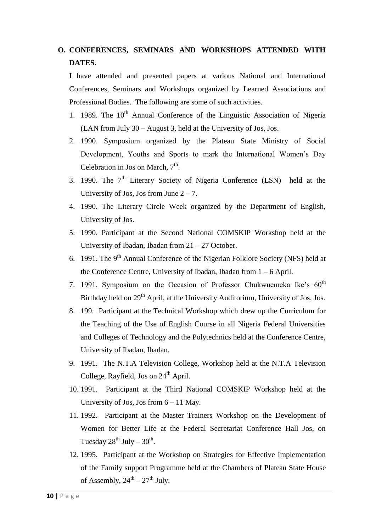# **O. CONFERENCES, SEMINARS AND WORKSHOPS ATTENDED WITH DATES.**

I have attended and presented papers at various National and International Conferences, Seminars and Workshops organized by Learned Associations and Professional Bodies. The following are some of such activities.

- 1. 1989. The  $10^{th}$  Annual Conference of the Linguistic Association of Nigeria (LAN from July 30 – August 3, held at the University of Jos, Jos.
- 2. 1990. Symposium organized by the Plateau State Ministry of Social Development, Youths and Sports to mark the International Women"s Day Celebration in Jos on March,  $7<sup>th</sup>$ .
- 3. 1990. The  $7<sup>th</sup>$  Literary Society of Nigeria Conference (LSN) held at the University of Jos, Jos from June  $2 - 7$ .
- 4. 1990. The Literary Circle Week organized by the Department of English, University of Jos.
- 5. 1990. Participant at the Second National COMSKIP Workshop held at the University of Ibadan, Ibadan from 21 – 27 October.
- 6. 1991. The 9<sup>th</sup> Annual Conference of the Nigerian Folklore Society (NFS) held at the Conference Centre, University of Ibadan, Ibadan from  $1 - 6$  April.
- 7. 1991. Symposium on the Occasion of Professor Chukwuemeka Ike's 60<sup>th</sup> Birthday held on 29<sup>th</sup> April, at the University Auditorium, University of Jos, Jos.
- 8. 199. Participant at the Technical Workshop which drew up the Curriculum for the Teaching of the Use of English Course in all Nigeria Federal Universities and Colleges of Technology and the Polytechnics held at the Conference Centre, University of Ibadan, Ibadan.
- 9. 1991. The N.T.A Television College, Workshop held at the N.T.A Television College, Rayfield, Jos on  $24<sup>th</sup>$  April.
- 10. 1991. Participant at the Third National COMSKIP Workshop held at the University of Jos, Jos from 6 – 11 May.
- 11. 1992. Participant at the Master Trainers Workshop on the Development of Women for Better Life at the Federal Secretariat Conference Hall Jos, on Tuesday  $28^{th}$  July –  $30^{th}$ .
- 12. 1995. Participant at the Workshop on Strategies for Effective Implementation of the Family support Programme held at the Chambers of Plateau State House of Assembly,  $24^{\text{th}} - 27^{\text{th}}$  July.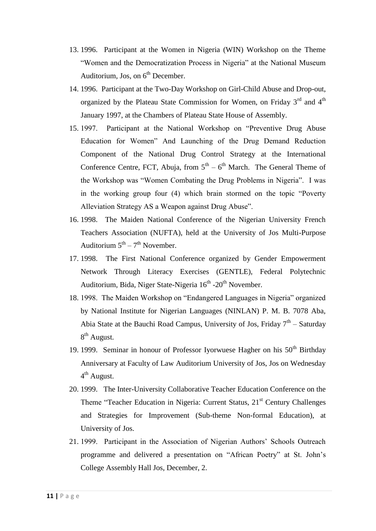- 13. 1996. Participant at the Women in Nigeria (WIN) Workshop on the Theme "Women and the Democratization Process in Nigeria" at the National Museum Auditorium, Jos, on  $6<sup>th</sup>$  December.
- 14. 1996. Participant at the Two-Day Workshop on Girl-Child Abuse and Drop-out, organized by the Plateau State Commission for Women, on Friday 3<sup>rd</sup> and 4<sup>th</sup> January 1997, at the Chambers of Plateau State House of Assembly.
- 15. 1997. Participant at the National Workshop on "Preventive Drug Abuse Education for Women" And Launching of the Drug Demand Reduction Component of the National Drug Control Strategy at the International Conference Centre, FCT, Abuja, from  $5<sup>th</sup> - 6<sup>th</sup>$  March. The General Theme of the Workshop was "Women Combating the Drug Problems in Nigeria". I was in the working group four (4) which brain stormed on the topic "Poverty Alleviation Strategy AS a Weapon against Drug Abuse".
- 16. 1998. The Maiden National Conference of the Nigerian University French Teachers Association (NUFTA), held at the University of Jos Multi-Purpose Auditorium  $5<sup>th</sup> - 7<sup>th</sup>$  November.
- 17. 1998. The First National Conference organized by Gender Empowerment Network Through Literacy Exercises (GENTLE), Federal Polytechnic Auditorium, Bida, Niger State-Nigeria 16<sup>th</sup> -20<sup>th</sup> November.
- 18. 1998. The Maiden Workshop on "Endangered Languages in Nigeria" organized by National Institute for Nigerian Languages (NINLAN) P. M. B. 7078 Aba, Abia State at the Bauchi Road Campus, University of Jos, Friday  $7<sup>th</sup>$  – Saturday 8<sup>th</sup> August.
- 19. 1999. Seminar in honour of Professor Iyorwuese Hagher on his  $50<sup>th</sup>$  Birthday Anniversary at Faculty of Law Auditorium University of Jos, Jos on Wednesday 4<sup>th</sup> August.
- 20. 1999. The Inter-University Collaborative Teacher Education Conference on the Theme "Teacher Education in Nigeria: Current Status, 21<sup>st</sup> Century Challenges and Strategies for Improvement (Sub-theme Non-formal Education), at University of Jos.
- 21. 1999. Participant in the Association of Nigerian Authors" Schools Outreach programme and delivered a presentation on "African Poetry" at St. John"s College Assembly Hall Jos, December, 2.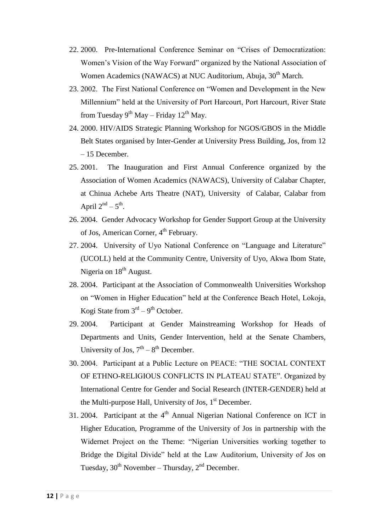- 22. 2000. Pre-International Conference Seminar on "Crises of Democratization: Women"s Vision of the Way Forward" organized by the National Association of Women Academics (NAWACS) at NUC Auditorium, Abuja, 30<sup>th</sup> March.
- 23. 2002. The First National Conference on "Women and Development in the New Millennium" held at the University of Port Harcourt, Port Harcourt, River State from Tuesday 9<sup>th</sup> May – Friday 12<sup>th</sup> May.
- 24. 2000. HIV/AIDS Strategic Planning Workshop for NGOS/GBOS in the Middle Belt States organised by Inter-Gender at University Press Building, Jos, from 12 – 15 December.
- 25. 2001. The Inauguration and First Annual Conference organized by the Association of Women Academics (NAWACS), University of Calabar Chapter, at Chinua Achebe Arts Theatre (NAT), University of Calabar, Calabar from April  $2<sup>nd</sup> - 5<sup>th</sup>$ .
- 26. 2004. Gender Advocacy Workshop for Gender Support Group at the University of Jos, American Corner, 4<sup>th</sup> February.
- 27. 2004. University of Uyo National Conference on "Language and Literature" (UCOLL) held at the Community Centre, University of Uyo, Akwa Ibom State, Nigeria on  $18<sup>th</sup>$  August.
- 28. 2004. Participant at the Association of Commonwealth Universities Workshop on "Women in Higher Education" held at the Conference Beach Hotel, Lokoja, Kogi State from  $3<sup>rd</sup> - 9<sup>th</sup>$  October.
- 29. 2004. Participant at Gender Mainstreaming Workshop for Heads of Departments and Units, Gender Intervention, held at the Senate Chambers, University of Jos,  $7<sup>th</sup> - 8<sup>th</sup>$  December.
- 30. 2004. Participant at a Public Lecture on PEACE: "THE SOCIAL CONTEXT OF ETHNO-RELIGIOUS CONFLICTS IN PLATEAU STATE". Organized by International Centre for Gender and Social Research (INTER-GENDER) held at the Multi-purpose Hall, University of Jos,  $1<sup>st</sup>$  December.
- 31. 2004. Participant at the  $4<sup>th</sup>$  Annual Nigerian National Conference on ICT in Higher Education, Programme of the University of Jos in partnership with the Widernet Project on the Theme: "Nigerian Universities working together to Bridge the Digital Divide" held at the Law Auditorium, University of Jos on Tuesday,  $30^{th}$  November – Thursday,  $2^{nd}$  December.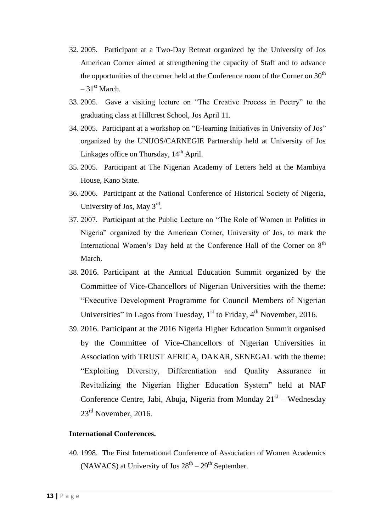- 32. 2005. Participant at a Two-Day Retreat organized by the University of Jos American Corner aimed at strengthening the capacity of Staff and to advance the opportunities of the corner held at the Conference room of the Corner on  $30<sup>th</sup>$  $-31<sup>st</sup>$  March.
- 33. 2005. Gave a visiting lecture on "The Creative Process in Poetry" to the graduating class at Hillcrest School, Jos April 11.
- 34. 2005. Participant at a workshop on "E-learning Initiatives in University of Jos" organized by the UNIJOS/CARNEGIE Partnership held at University of Jos Linkages office on Thursday,  $14<sup>th</sup>$  April.
- 35. 2005. Participant at The Nigerian Academy of Letters held at the Mambiya House, Kano State.
- 36. 2006. Participant at the National Conference of Historical Society of Nigeria, University of Jos, May 3<sup>rd</sup>.
- 37. 2007. Participant at the Public Lecture on "The Role of Women in Politics in Nigeria" organized by the American Corner, University of Jos, to mark the International Women's Day held at the Conference Hall of the Corner on 8<sup>th</sup> March.
- 38. 2016. Participant at the Annual Education Summit organized by the Committee of Vice-Chancellors of Nigerian Universities with the theme: "Executive Development Programme for Council Members of Nigerian Universities" in Lagos from Tuesday,  $1<sup>st</sup>$  to Friday,  $4<sup>th</sup>$  November, 2016.
- 39. 2016. Participant at the 2016 Nigeria Higher Education Summit organised by the Committee of Vice-Chancellors of Nigerian Universities in Association with TRUST AFRICA, DAKAR, SENEGAL with the theme: "Exploiting Diversity, Differentiation and Quality Assurance in Revitalizing the Nigerian Higher Education System" held at NAF Conference Centre, Jabi, Abuja, Nigeria from Monday  $21<sup>st</sup>$  – Wednesday  $23<sup>rd</sup>$  November, 2016.

#### **International Conferences.**

40. 1998. The First International Conference of Association of Women Academics (NAWACS) at University of Jos  $28<sup>th</sup> - 29<sup>th</sup>$  September.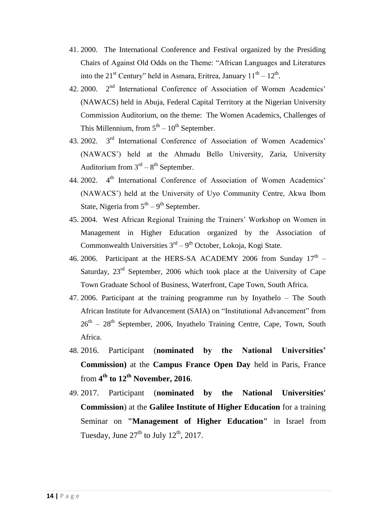- 41. 2000. The International Conference and Festival organized by the Presiding Chairs of Against Old Odds on the Theme: "African Languages and Literatures into the 21<sup>st</sup> Century" held in Asmara, Eritrea, January  $11<sup>th</sup> - 12<sup>th</sup>$ .
- 42. 2000. 2<sup>nd</sup> International Conference of Association of Women Academics' (NAWACS) held in Abuja, Federal Capital Territory at the Nigerian University Commission Auditorium, on the theme: The Women Academics, Challenges of This Millennium, from  $5<sup>th</sup> - 10<sup>th</sup>$  September.
- 43. 2002. 3<sup>rd</sup> International Conference of Association of Women Academics' (NAWACS") held at the Ahmadu Bello University, Zaria, University Auditorium from  $3<sup>rd</sup> - 8<sup>th</sup>$  September.
- 44. 2002. 4<sup>th</sup> International Conference of Association of Women Academics' (NAWACS") held at the University of Uyo Community Centre, Akwa Ibom State, Nigeria from  $5<sup>th</sup> - 9<sup>th</sup>$  September.
- 45. 2004. West African Regional Training the Trainers" Workshop on Women in Management in Higher Education organized by the Association of Commonwealth Universities  $3<sup>rd</sup> - 9<sup>th</sup>$  October, Lokoja, Kogi State.
- 46. 2006. Participant at the HERS-SA ACADEMY 2006 from Sunday  $17<sup>th</sup>$  Saturday,  $23<sup>rd</sup>$  September, 2006 which took place at the University of Cape Town Graduate School of Business, Waterfront, Cape Town, South Africa.
- 47. 2006. Participant at the training programme run by Inyathelo The South African Institute for Advancement (SAIA) on "Institutional Advancement" from  $26<sup>th</sup> - 28<sup>th</sup>$  September, 2006, Inyathelo Training Centre, Cape, Town, South Africa.
- 48. 2016. Participant (**nominated by the National Universities' Commission)** at the **Campus France Open Day** held in Paris, France from **4 th to 12th November, 2016**.
- 49. 2017. Participant (**nominated by the National Universities' Commission**) at the **Galilee Institute of Higher Education** for a training Seminar on **"Management of Higher Education"** in Israel from Tuesday, June  $27<sup>th</sup>$  to July  $12<sup>th</sup>$ , 2017.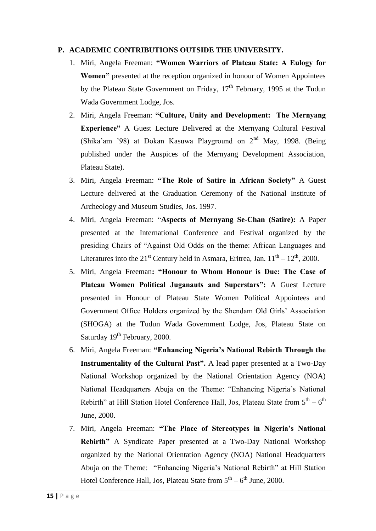#### **P. ACADEMIC CONTRIBUTIONS OUTSIDE THE UNIVERSITY.**

- 1. Miri, Angela Freeman: **"Women Warriors of Plateau State: A Eulogy for Women"** presented at the reception organized in honour of Women Appointees by the Plateau State Government on Friday,  $17<sup>th</sup>$  February, 1995 at the Tudun Wada Government Lodge, Jos.
- 2. Miri, Angela Freeman: **"Culture, Unity and Development: The Mernyang Experience"** A Guest Lecture Delivered at the Mernyang Cultural Festival (Shika'am '98) at Dokan Kasuwa Playground on  $2<sup>nd</sup>$  May, 1998. (Being published under the Auspices of the Mernyang Development Association, Plateau State).
- 3. Miri, Angela Freeman: **"The Role of Satire in African Society"** A Guest Lecture delivered at the Graduation Ceremony of the National Institute of Archeology and Museum Studies, Jos. 1997.
- 4. Miri, Angela Freeman: "**Aspects of Mernyang Se-Chan (Satire):** A Paper presented at the International Conference and Festival organized by the presiding Chairs of "Against Old Odds on the theme: African Languages and Literatures into the 21<sup>st</sup> Century held in Asmara, Eritrea, Jan.  $11^{th} - 12^{th}$ , 2000.
- 5. Miri, Angela Freeman**: "Honour to Whom Honour is Due: The Case of Plateau Women Political Juganauts and Superstars":** A Guest Lecture presented in Honour of Plateau State Women Political Appointees and Government Office Holders organized by the Shendam Old Girls" Association (SHOGA) at the Tudun Wada Government Lodge, Jos, Plateau State on Saturday 19<sup>th</sup> February, 2000.
- 6. Miri, Angela Freeman: **"Enhancing Nigeria's National Rebirth Through the Instrumentality of the Cultural Past".** A lead paper presented at a Two-Day National Workshop organized by the National Orientation Agency (NOA) National Headquarters Abuja on the Theme: "Enhancing Nigeria's National Rebirth" at Hill Station Hotel Conference Hall, Jos, Plateau State from  $5<sup>th</sup> - 6<sup>th</sup>$ June, 2000.
- 7. Miri, Angela Freeman: **"The Place of Stereotypes in Nigeria's National Rebirth"** A Syndicate Paper presented at a Two-Day National Workshop organized by the National Orientation Agency (NOA) National Headquarters Abuja on the Theme: "Enhancing Nigeria"s National Rebirth" at Hill Station Hotel Conference Hall, Jos, Plateau State from  $5^{\text{th}} - 6^{\text{th}}$  June, 2000.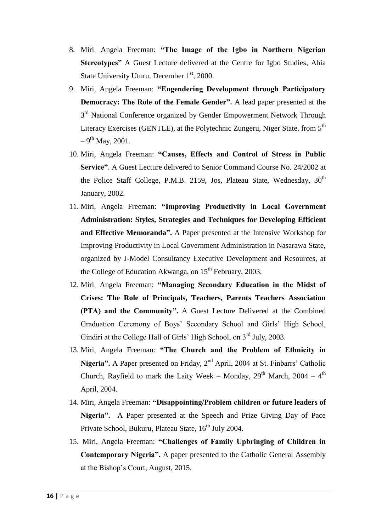- 8. Miri, Angela Freeman: **"The Image of the Igbo in Northern Nigerian Stereotypes"** A Guest Lecture delivered at the Centre for Igbo Studies, Abia State University Uturu, December 1<sup>st</sup>, 2000.
- 9. Miri, Angela Freeman: **"Engendering Development through Participatory Democracy: The Role of the Female Gender".** A lead paper presented at the 3<sup>rd</sup> National Conference organized by Gender Empowerment Network Through Literacy Exercises (GENTLE), at the Polytechnic Zungeru, Niger State, from 5<sup>th</sup>  $-9^{\text{th}}$  May, 2001.
- 10. Miri, Angela Freeman: **"Causes, Effects and Control of Stress in Public Service"**. A Guest Lecture delivered to Senior Command Course No. 24/2002 at the Police Staff College, P.M.B. 2159, Jos, Plateau State, Wednesday,  $30<sup>th</sup>$ January, 2002.
- 11. Miri, Angela Freeman: **"Improving Productivity in Local Government Administration: Styles, Strategies and Techniques for Developing Efficient and Effective Memoranda".** A Paper presented at the Intensive Workshop for Improving Productivity in Local Government Administration in Nasarawa State, organized by J-Model Consultancy Executive Development and Resources, at the College of Education Akwanga, on  $15<sup>th</sup>$  February, 2003.
- 12. Miri, Angela Freeman: **"Managing Secondary Education in the Midst of Crises: The Role of Principals, Teachers, Parents Teachers Association (PTA) and the Community".** A Guest Lecture Delivered at the Combined Graduation Ceremony of Boys" Secondary School and Girls" High School, Gindiri at the College Hall of Girls' High School, on 3<sup>rd</sup> July, 2003.
- 13. Miri, Angela Freeman: **"The Church and the Problem of Ethnicity in**  Nigeria". A Paper presented on Friday, 2<sup>nd</sup> April, 2004 at St. Finbarrs' Catholic Church, Rayfield to mark the Laity Week – Monday,  $29<sup>th</sup>$  March,  $2004 - 4<sup>th</sup>$ April, 2004.
- 14. Miri, Angela Freeman: **"Disappointing/Problem children or future leaders of Nigeria".** A Paper presented at the Speech and Prize Giving Day of Pace Private School, Bukuru, Plateau State, 16<sup>th</sup> July 2004.
- 15. Miri, Angela Freeman: **"Challenges of Family Upbringing of Children in Contemporary Nigeria".** A paper presented to the Catholic General Assembly at the Bishop"s Court, August, 2015.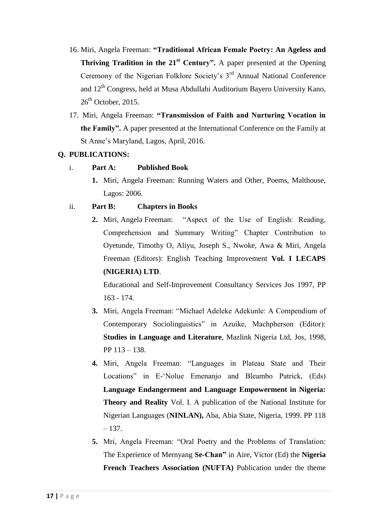- 16. Miri, Angela Freeman: **"Traditional African Female Poetry: An Ageless and Thriving Tradition in the 21st Century".** A paper presented at the Opening Ceremony of the Nigerian Folklore Society's 3<sup>rd</sup> Annual National Conference and 12<sup>th</sup> Congress, held at Musa Abdullahi Auditorium Bayero University Kano,  $26<sup>th</sup>$  October, 2015.
- 17. Miri, Angela Freeman: **"Transmission of Faith and Nurturing Vocation in the Family".** A paper presented at the International Conference on the Family at St Anne"s Maryland, Lagos, April, 2016.

## **Q. PUBLICATIONS:**

- i. **Part A: Published Book**
	- **1.** Miri, Angela Freeman: Running Waters and Other, Poems, Malthouse, Lagos: 2006.

## ii. **Part B: Chapters in Books**

**2.** Miri, Angela Freeman: "Aspect of the Use of English: Reading, Comprehension and Summary Writing" Chapter Contribution to Oyetunde, Timothy O, Aliyu, Joseph S., Nwoke, Awa & Miri, Angela Freeman (Editors): English Teaching Improvement **Vol. I LECAPS (NIGERIA) LTD**.

Educational and Self-Improvement Consultancy Services Jos 1997, PP 163 - 174.

- **3.** Miri, Angela Freeman: "Michael Adeleke Adekunle: A Compendium of Contemporary Sociolinguistics" in Azuike, Machpherson (Editor): **Studies in Language and Literature**, Mazlink Nigeria Ltd, Jos, 1998, PP 113 – 138.
- **4.** Miri, Angela Freeman: "Languages in Plateau State and Their Locations" in E-"Nolue Emenanjo and Bleambo Patrick, (Eds) **Language Endangerment and Language Empowerment in Nigeria: Theory and Reality** Vol. I. A publication of the National Institute for Nigerian Languages (**NINLAN),** Aba, Abia State, Nigeria, 1999. PP 118 – 137.
- **5.** Mri, Angela Freeman: "Oral Poetry and the Problems of Translation: The Experience of Mernyang **Se-Chan"** in Aire, Victor (Ed) the **Nigeria French Teachers Association (NUFTA)** Publication under the theme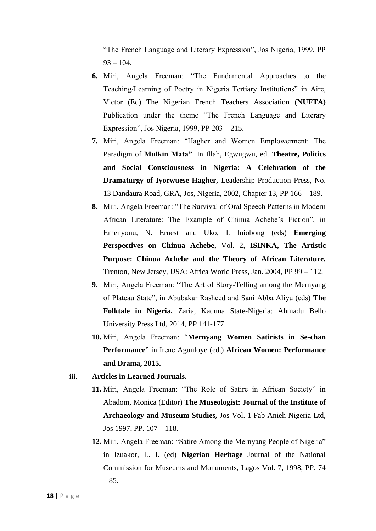"The French Language and Literary Expression", Jos Nigeria, 1999, PP  $93 - 104.$ 

- **6.** Miri, Angela Freeman: "The Fundamental Approaches to the Teaching/Learning of Poetry in Nigeria Tertiary Institutions" in Aire, Victor (Ed) The Nigerian French Teachers Association (**NUFTA)** Publication under the theme "The French Language and Literary Expression", Jos Nigeria, 1999, PP 203 – 215.
- **7.** Miri, Angela Freeman: "Hagher and Women Emplowerment: The Paradigm of **Mulkin Mata"**. In Illah, Egwugwu, ed. **Theatre, Politics and Social Consciousness in Nigeria: A Celebration of the Dramaturgy of Iyorwuese Hagher,** Leadership Production Press, No. 13 Dandaura Road, GRA, Jos, Nigeria, 2002, Chapter 13, PP 166 – 189.
- **8.** Miri, Angela Freeman: "The Survival of Oral Speech Patterns in Modern African Literature: The Example of Chinua Achebe's Fiction", in Emenyonu, N. Ernest and Uko, I. Iniobong (eds) **Emerging Perspectives on Chinua Achebe,** Vol. 2, **ISINKA, The Artistic Purpose: Chinua Achebe and the Theory of African Literature,**  Trenton, New Jersey, USA: Africa World Press, Jan. 2004, PP 99 – 112.
- **9.** Miri, Angela Freeman: "The Art of Story-Telling among the Mernyang of Plateau State", in Abubakar Rasheed and Sani Abba Aliyu (eds) **The Folktale in Nigeria,** Zaria, Kaduna State-Nigeria: Ahmadu Bello University Press Ltd, 2014, PP 141-177.
- **10.** Miri, Angela Freeman: "**Mernyang Women Satirists in Se-chan Performance**" in Irene Agunloye (ed.) **African Women: Performance and Drama, 2015.**
- iii. **Articles in Learned Journals.**
	- **11.** Miri, Angela Freeman: "The Role of Satire in African Society" in Abadom, Monica (Editor) **The Museologist: Journal of the Institute of Archaeology and Museum Studies,** Jos Vol. 1 Fab Anieh Nigeria Ltd, Jos 1997, PP. 107 – 118.
	- **12.** Miri, Angela Freeman: "Satire Among the Mernyang People of Nigeria" in Izuakor, L. I. (ed) **Nigerian Heritage** Journal of the National Commission for Museums and Monuments, Lagos Vol. 7, 1998, PP. 74  $-85.$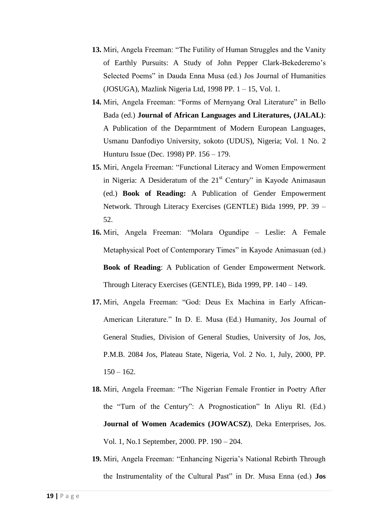- **13.** Miri, Angela Freeman: "The Futility of Human Struggles and the Vanity of Earthly Pursuits: A Study of John Pepper Clark-Bekederemo"s Selected Poems" in Dauda Enna Musa (ed.) Jos Journal of Humanities (JOSUGA), Mazlink Nigeria Ltd, 1998 PP. 1 – 15, Vol. 1.
- **14.** Miri, Angela Freeman: "Forms of Mernyang Oral Literature" in Bello Bada (ed.) **Journal of African Languages and Literatures, (JALAL)**: A Publication of the Deparmtment of Modern European Languages, Usmanu Danfodiyo University, sokoto (UDUS), Nigeria; Vol. 1 No. 2 Hunturu Issue (Dec. 1998) PP. 156 – 179.
- **15.** Miri, Angela Freeman: "Functional Literacy and Women Empowerment in Nigeria: A Desideratum of the  $21<sup>st</sup>$  Century" in Kayode Animasaun (ed.) **Book of Reading:** A Publication of Gender Empowerment Network. Through Literacy Exercises (GENTLE) Bida 1999, PP. 39 – 52.
- **16.** Miri, Angela Freeman: "Molara Ogundipe Leslie: A Female Metaphysical Poet of Contemporary Times" in Kayode Animasuan (ed.) **Book of Reading**: A Publication of Gender Empowerment Network. Through Literacy Exercises (GENTLE), Bida 1999, PP. 140 – 149.
- **17.** Miri, Angela Freeman: "God: Deus Ex Machina in Early African-American Literature." In D. E. Musa (Ed.) Humanity, Jos Journal of General Studies, Division of General Studies, University of Jos, Jos, P.M.B. 2084 Jos, Plateau State, Nigeria, Vol. 2 No. 1, July, 2000, PP.  $150 - 162$ .
- **18.** Miri, Angela Freeman: "The Nigerian Female Frontier in Poetry After the "Turn of the Century": A Prognostication" In Aliyu Rl. (Ed.) **Journal of Women Academics (JOWACSZ)**, Deka Enterprises, Jos. Vol. 1, No.1 September, 2000. PP. 190 – 204.
- **19.** Miri, Angela Freeman: "Enhancing Nigeria"s National Rebirth Through the Instrumentality of the Cultural Past" in Dr. Musa Enna (ed.) **Jos**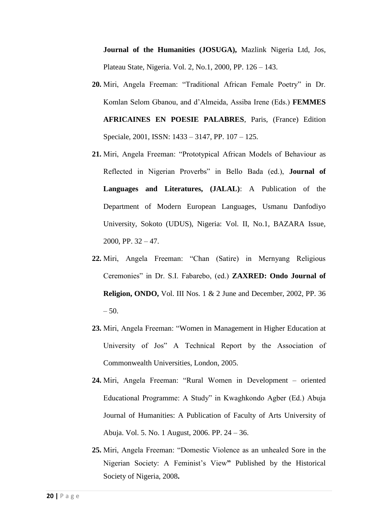**Journal of the Humanities (JOSUGA),** Mazlink Nigeria Ltd, Jos, Plateau State, Nigeria. Vol. 2, No.1, 2000, PP. 126 – 143.

- **20.** Miri, Angela Freeman: "Traditional African Female Poetry" in Dr. Komlan Selom Gbanou, and d"Almeida, Assiba Irene (Eds.) **FEMMES AFRICAINES EN POESIE PALABRES**, Paris, (France) Edition Speciale, 2001, ISSN: 1433 – 3147, PP. 107 – 125.
- **21.** Miri, Angela Freeman: "Prototypical African Models of Behaviour as Reflected in Nigerian Proverbs" in Bello Bada (ed.), **Journal of Languages and Literatures, (JALAL)**: A Publication of the Department of Modern European Languages, Usmanu Danfodiyo University, Sokoto (UDUS), Nigeria: Vol. II, No.1, BAZARA Issue, 2000, PP.  $32 - 47$ .
- **22.** Miri, Angela Freeman: "Chan (Satire) in Mernyang Religious Ceremonies" in Dr. S.I. Fabarebo, (ed.) **ZAXRED: Ondo Journal of Religion, ONDO,** Vol. III Nos. 1 & 2 June and December, 2002, PP. 36  $-50.$
- **23.** Miri, Angela Freeman: "Women in Management in Higher Education at University of Jos" A Technical Report by the Association of Commonwealth Universities, London, 2005.
- **24.** Miri, Angela Freeman: "Rural Women in Development oriented Educational Programme: A Study" in Kwaghkondo Agber (Ed.) Abuja Journal of Humanities: A Publication of Faculty of Arts University of Abuja. Vol. 5. No. 1 August, 2006. PP. 24 – 36.
- **25.** Miri, Angela Freeman: "Domestic Violence as an unhealed Sore in the Nigerian Society: A Feminist"s View**"** Published by the Historical Society of Nigeria, 2008**.**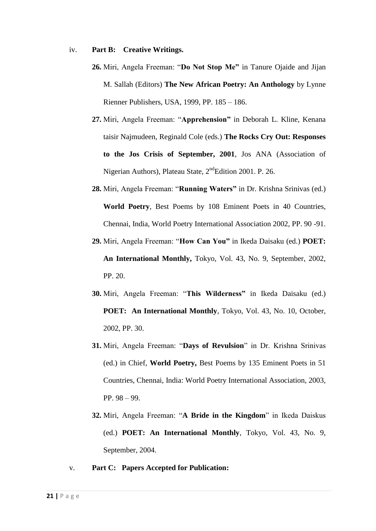#### iv. **Part B: Creative Writings.**

- **26.** Miri, Angela Freeman: "**Do Not Stop Me"** in Tanure Ojaide and Jijan M. Sallah (Editors) **The New African Poetry: An Anthology** by Lynne Rienner Publishers, USA, 1999, PP. 185 – 186.
- **27.** Miri, Angela Freeman: "**Apprehension"** in Deborah L. Kline, Kenana taisir Najmudeen, Reginald Cole (eds.) **The Rocks Cry Out: Responses to the Jos Crisis of September, 2001**, Jos ANA (Association of Nigerian Authors), Plateau State, 2<sup>nd</sup>Edition 2001. P. 26.
- **28.** Miri, Angela Freeman: "**Running Waters"** in Dr. Krishna Srinivas (ed.) **World Poetry**, Best Poems by 108 Eminent Poets in 40 Countries, Chennai, India, World Poetry International Association 2002, PP. 90 -91.
- **29.** Miri, Angela Freeman: "**How Can You"** in Ikeda Daisaku (ed.) **POET: An International Monthly,** Tokyo, Vol. 43, No. 9, September, 2002, PP. 20.
- **30.** Miri, Angela Freeman: "**This Wilderness"** in Ikeda Daisaku (ed.) **POET: An International Monthly**, Tokyo, Vol. 43, No. 10, October, 2002, PP. 30.
- **31.** Miri, Angela Freeman: "**Days of Revulsion**" in Dr. Krishna Srinivas (ed.) in Chief, **World Poetry,** Best Poems by 135 Eminent Poets in 51 Countries, Chennai, India: World Poetry International Association, 2003, PP. 98 – 99.
- **32.** Miri, Angela Freeman: "**A Bride in the Kingdom**" in Ikeda Daiskus (ed.) **POET: An International Monthly**, Tokyo, Vol. 43, No. 9, September, 2004.
- v. **Part C: Papers Accepted for Publication:**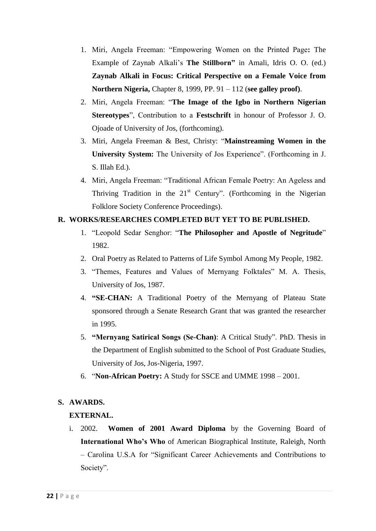- 1. Miri, Angela Freeman: "Empowering Women on the Printed Page**:** The Example of Zaynab Alkali"s **The Stillborn"** in Amali, Idris O. O. (ed.) **Zaynab Alkali in Focus: Critical Perspective on a Female Voice from Northern Nigeria,** Chapter 8, 1999, PP. 91 – 112 (**see galley proof)**.
- 2. Miri, Angela Freeman: "**The Image of the Igbo in Northern Nigerian Stereotypes**", Contribution to a **Festschrift** in honour of Professor J. O. Ojoade of University of Jos, (forthcoming).
- 3. Miri, Angela Freeman & Best, Christy: "**Mainstreaming Women in the University System:** The University of Jos Experience". (Forthcoming in J. S. Illah Ed.).
- 4. Miri, Angela Freeman: "Traditional African Female Poetry: An Ageless and Thriving Tradition in the  $21<sup>st</sup>$  Century". (Forthcoming in the Nigerian Folklore Society Conference Proceedings).

## **R. WORKS/RESEARCHES COMPLETED BUT YET TO BE PUBLISHED.**

- 1. "Leopold Sedar Senghor: "**The Philosopher and Apostle of Negritude**" 1982.
- 2. Oral Poetry as Related to Patterns of Life Symbol Among My People, 1982.
- 3. "Themes, Features and Values of Mernyang Folktales" M. A. Thesis, University of Jos, 1987.
- 4. **"SE-CHAN:** A Traditional Poetry of the Mernyang of Plateau State sponsored through a Senate Research Grant that was granted the researcher in 1995.
- 5. **"Mernyang Satirical Songs (Se-Chan)**: A Critical Study". PhD. Thesis in the Department of English submitted to the School of Post Graduate Studies, University of Jos, Jos-Nigeria, 1997.
- 6. "**Non-African Poetry:** A Study for SSCE and UMME 1998 2001.

## **S. AWARDS.**

## **EXTERNAL.**

i. 2002. **Women of 2001 Award Diploma** by the Governing Board of **International Who's Who** of American Biographical Institute, Raleigh, North – Carolina U.S.A for "Significant Career Achievements and Contributions to Society".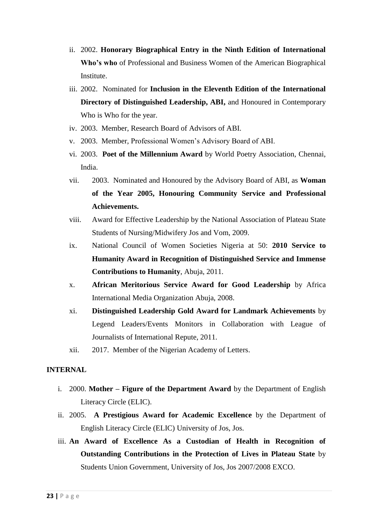- ii. 2002. **Honorary Biographical Entry in the Ninth Edition of International Who's who** of Professional and Business Women of the American Biographical Institute.
- iii. 2002. Nominated for **Inclusion in the Eleventh Edition of the International Directory of Distinguished Leadership, ABI,** and Honoured in Contemporary Who is Who for the year.
- iv. 2003. Member, Research Board of Advisors of ABI.
- v. 2003. Member, Professional Women"s Advisory Board of ABI.
- vi. 2003. **Poet of the Millennium Award** by World Poetry Association, Chennai, India.
- vii. 2003. Nominated and Honoured by the Advisory Board of ABI, as **Woman of the Year 2005, Honouring Community Service and Professional Achievements.**
- viii. Award for Effective Leadership by the National Association of Plateau State Students of Nursing/Midwifery Jos and Vom, 2009.
- ix. National Council of Women Societies Nigeria at 50: **2010 Service to Humanity Award in Recognition of Distinguished Service and Immense Contributions to Humanity**, Abuja, 2011.
- x. **African Meritorious Service Award for Good Leadership** by Africa International Media Organization Abuja, 2008.
- xi. **Distinguished Leadership Gold Award for Landmark Achievements** by Legend Leaders/Events Monitors in Collaboration with League of Journalists of International Repute, 2011.
- xii. 2017. Member of the Nigerian Academy of Letters.

#### **INTERNAL**

- i. 2000. **Mother – Figure of the Department Award** by the Department of English Literacy Circle (ELIC).
- ii. 2005. **A Prestigious Award for Academic Excellence** by the Department of English Literacy Circle (ELIC) University of Jos, Jos.
- iii. **An Award of Excellence As a Custodian of Health in Recognition of Outstanding Contributions in the Protection of Lives in Plateau State** by Students Union Government, University of Jos, Jos 2007/2008 EXCO.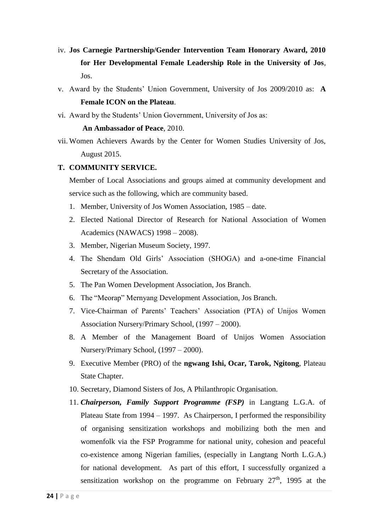- iv. **Jos Carnegie Partnership/Gender Intervention Team Honorary Award, 2010 for Her Developmental Female Leadership Role in the University of Jos**, Jos.
- v. Award by the Students" Union Government, University of Jos 2009/2010 as: **A Female ICON on the Plateau**.
- vi. Award by the Students" Union Government, University of Jos as:

#### **An Ambassador of Peace**, 2010.

vii. Women Achievers Awards by the Center for Women Studies University of Jos, August 2015.

#### **T. COMMUNITY SERVICE.**

Member of Local Associations and groups aimed at community development and service such as the following, which are community based.

- 1. Member, University of Jos Women Association, 1985 date.
- 2. Elected National Director of Research for National Association of Women Academics (NAWACS) 1998 – 2008).
- 3. Member, Nigerian Museum Society, 1997.
- 4. The Shendam Old Girls" Association (SHOGA) and a-one-time Financial Secretary of the Association.
- 5. The Pan Women Development Association, Jos Branch.
- 6. The "Meorap" Mernyang Development Association, Jos Branch.
- 7. Vice-Chairman of Parents" Teachers" Association (PTA) of Unijos Women Association Nursery/Primary School, (1997 – 2000).
- 8. A Member of the Management Board of Unijos Women Association Nursery/Primary School, (1997 – 2000).
- 9. Executive Member (PRO) of the **ngwang Ishi, Ocar, Tarok, Ngitong**, Plateau State Chapter.
- 10. Secretary, Diamond Sisters of Jos, A Philanthropic Organisation.
- 11. *Chairperson, Family Support Programme (FSP)* in Langtang L.G.A. of Plateau State from 1994 – 1997. As Chairperson, I performed the responsibility of organising sensitization workshops and mobilizing both the men and womenfolk via the FSP Programme for national unity, cohesion and peaceful co-existence among Nigerian families, (especially in Langtang North L.G.A.) for national development. As part of this effort, I successfully organized a sensitization workshop on the programme on February  $27<sup>th</sup>$ , 1995 at the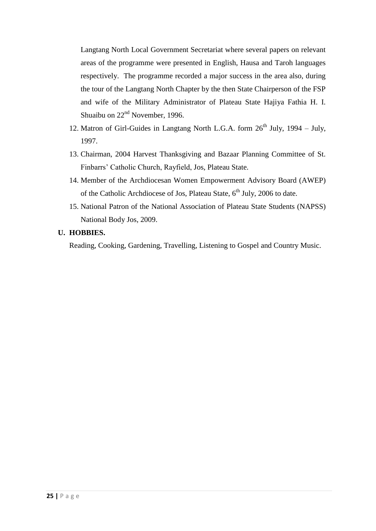Langtang North Local Government Secretariat where several papers on relevant areas of the programme were presented in English, Hausa and Taroh languages respectively. The programme recorded a major success in the area also, during the tour of the Langtang North Chapter by the then State Chairperson of the FSP and wife of the Military Administrator of Plateau State Hajiya Fathia H. I. Shuaibu on  $22<sup>nd</sup>$  November, 1996.

- 12. Matron of Girl-Guides in Langtang North L.G.A. form  $26<sup>th</sup>$  July, 1994 July, 1997.
- 13. Chairman, 2004 Harvest Thanksgiving and Bazaar Planning Committee of St. Finbarrs" Catholic Church, Rayfield, Jos, Plateau State.
- 14. Member of the Archdiocesan Women Empowerment Advisory Board (AWEP) of the Catholic Archdiocese of Jos, Plateau State,  $6<sup>th</sup>$  July, 2006 to date.
- 15. National Patron of the National Association of Plateau State Students (NAPSS) National Body Jos, 2009.

## **U. HOBBIES.**

Reading, Cooking, Gardening, Travelling, Listening to Gospel and Country Music.